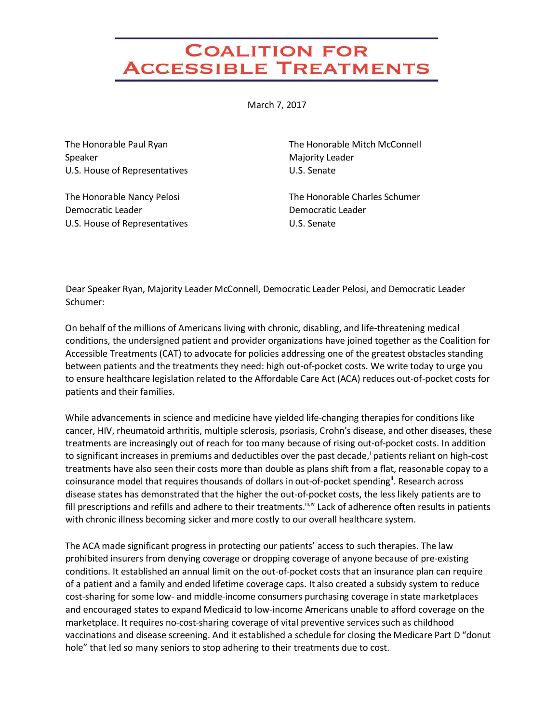## **COALITION FOR ACCESSIBLE TREATMENTS**

March 7, 2017

The Honorable Paul Ryan Speaker U.S. House of Representatives

The Honorable Nancy Pelosi Democratic Leader U.S. House of Representatives The Honorable Mitch McConnell Majority Leader U.S. Senate

The Honorable Charles Schumer Democratic Leader U.S. Senate

Dear Speaker Ryan, Majority Leader McConnell, Democratic Leader Pelosi, and Democratic Leader Schumer:

On behalf of the millions of Americans living with chronic, disabling, and life-threatening medical conditions, the undersigned patient and provider organizations have joined together as the Coalition for Accessible Treatments (CAT) to advocate for policies addressing one of the greatest obstacles standing between patients and the treatments they need: high out-of-pocket costs. We write today to urge you to ensure healthcare legislation related to the Affordable Care Act (ACA) reduces out-of-pocket costs for patients and their families.

While advancements in science and medicine have yielded life-changing therapies for conditions like cancer, HIV, rheumatoid arthritis, multiple sclerosis, psoriasis, Crohn's disease, and other diseases, these treatments are increasingly out of reach for too many because of rising out-of-pocket costs. In addition to significant increases in premiums and deductibles over the past decade,<sup>i</sup> patients reliant on high-cost treatments have also seen their costs more than double as plans shift from a flat, reasonable copay to a coinsurance model that requires thousands of dollars in out-of-pocket spending<sup>ii</sup>. Research across disease states has demonstrated that the higher the out-of-pocket costs, the less likely patients are to fill prescriptions and refills and adhere to their treatments.  $\mathbb{I}^{i,v}$  Lack of adherence often results in patients with chronic illness becoming sicker and more costly to our overall healthcare system.

The ACA made significant progress in protecting our patients' access to such therapies. The law prohibited insurers from denying coverage or dropping coverage of anyone because of pre-existing conditions. It established an annual limit on the out-of-pocket costs that an insurance plan can require of a patient and a family and ended lifetime coverage caps. It also created a subsidy system to reduce cost-sharing for some low- and middle-income consumers purchasing coverage in state marketplaces and encouraged states to expand Medicaid to low-income Americans unable to afford coverage on the marketplace. It requires no-cost-sharing coverage of vital preventive services such as childhood vaccinations and disease screening. And it established a schedule for closing the Medicare Part D "donut hole" that led so many seniors to stop adhering to their treatments due to cost.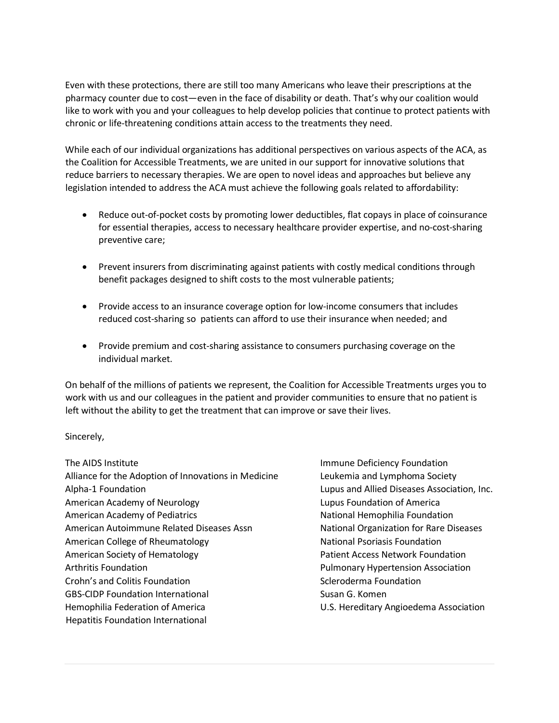Even with these protections, there are still too many Americans who leave their prescriptions at the pharmacy counter due to cost—even in the face of disability or death. That's why our coalition would like to work with you and your colleagues to help develop policies that continue to protect patients with chronic or life-threatening conditions attain access to the treatments they need.

While each of our individual organizations has additional perspectives on various aspects of the ACA, as the Coalition for Accessible Treatments, we are united in our support for innovative solutions that reduce barriers to necessary therapies. We are open to novel ideas and approaches but believe any legislation intended to address the ACA must achieve the following goals related to affordability:

- Reduce out-of-pocket costs by promoting lower deductibles, flat copays in place of coinsurance for essential therapies, access to necessary healthcare provider expertise, and no-cost-sharing preventive care;
- Prevent insurers from discriminating against patients with costly medical conditions through benefit packages designed to shift costs to the most vulnerable patients;
- Provide access to an insurance coverage option for low-income consumers that includes reduced cost-sharing so patients can afford to use their insurance when needed; and
- Provide premium and cost-sharing assistance to consumers purchasing coverage on the individual market.

On behalf of the millions of patients we represent, the Coalition for Accessible Treatments urges you to work with us and our colleagues in the patient and provider communities to ensure that no patient is left without the ability to get the treatment that can improve or save their lives.

## Sincerely,

The AIDS Institute Alliance for the Adoption of Innovations in Medicine Alpha-1 Foundation American Academy of Neurology American Academy of Pediatrics American Autoimmune Related Diseases Assn American College of Rheumatology American Society of Hematology Arthritis Foundation Crohn's and Colitis Foundation GBS-CIDP Foundation International Hemophilia Federation of America Hepatitis Foundation International

Immune Deficiency Foundation Leukemia and Lymphoma Society Lupus and Allied Diseases Association, Inc. Lupus Foundation of America National Hemophilia Foundation National Organization for Rare Diseases National Psoriasis Foundation Patient Access Network Foundation Pulmonary Hypertension Association Scleroderma Foundation Susan G. Komen U.S. Hereditary Angioedema Association